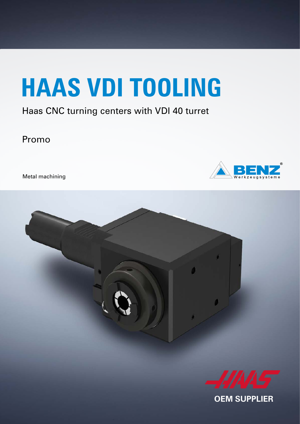# **HAAS VDI TOOLING**

#### Haas CNC turning centers with VDI 40 turret

Promo

Metal machining





**OEM SUPPLIER**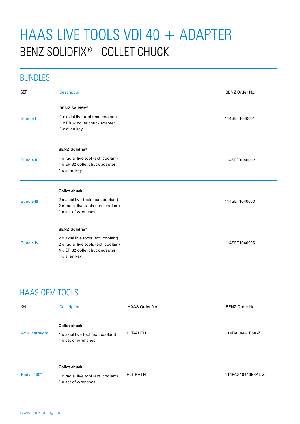## HAAS LIVE TOOLS VDI 40 + ADAPTER BENZ SOLIDFIX® - COLLET CHUCK

#### BUNDLES

| <b>SFT</b><br><b>Description</b>                         | BENZ Order No. |  |  |
|----------------------------------------------------------|----------------|--|--|
| <b>BENZ Solidfix®:</b>                                   |                |  |  |
| 1 x axial live tool (ext. coolant)<br><b>Bundle I</b>    | 114SET1040001  |  |  |
| 1 x ER32 collet chuck adapter                            |                |  |  |
| 1 x allen key                                            |                |  |  |
| <b>BENZ Solidfix<sup>®</sup>:</b>                        |                |  |  |
| 1 x radial live tool (ext. coolant)<br><b>Bundle II</b>  | 114SET1040002  |  |  |
| 1 x ER 32 collet chuck adapter                           |                |  |  |
| 1 x allen key                                            |                |  |  |
| <b>Collet chuck:</b>                                     |                |  |  |
| 2 x axial live tools (ext. coolant)<br><b>Bundle III</b> | 114SET1040003  |  |  |
| 2 x radial live tools (ext. coolant)                     |                |  |  |
| 1 x set of wrenches                                      |                |  |  |
| <b>BENZ Solidfix®:</b>                                   |                |  |  |
| 2 x axial live tools (ext. coolant)                      |                |  |  |
| <b>Bundle IV</b><br>2 x radial live tools (ext. coolant) | 114SET1040005  |  |  |
| 4 x ER 32 collet chuck adapter                           |                |  |  |
| 1 x allen key                                            |                |  |  |

### HAAS OEM TOOLS

| <b>SET</b>       | <b>Description</b>                                                                 | HAAS Order No.  | BENZ Order No.    |
|------------------|------------------------------------------------------------------------------------|-----------------|-------------------|
| Axial / straight | Collet chuck:<br>1 x axial live tool (ext. coolant)<br>1 x set of wrenches         | HLT-AHTH        | 114DA10441E6A-Z   |
| Radial / 90°     | <b>Collet chuck:</b><br>1 x radial live tool (ext. coolant)<br>1 x set of wrenches | <b>HLT-RHTH</b> | 114FAX10449E6AL-Z |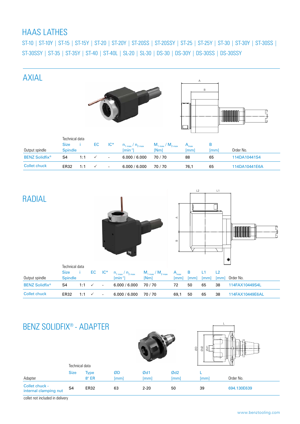#### HAAS LATHES

ST-10 | ST-10Y | ST-15 | ST-15Y | ST-20 | ST-20Y | ST-20SS | ST-20SSY | ST-25 | ST-25Y | ST-30 | ST-30Y | ST-30SS | ST-30SSY | ST-35 | ST-35Y | ST-40 | ST-40L | SL-20 | SL-30 | DS-30 | DS-30Y | DS-30SS | DS-30SSY



| <b>RADIAL</b>         |                                                 |              |              |                |                                                                | ⋖<br>$\, \underline{\mathrm{m}}$                | L2<br>L1<br>۰            |                      |            |            |                 |  |
|-----------------------|-------------------------------------------------|--------------|--------------|----------------|----------------------------------------------------------------|-------------------------------------------------|--------------------------|----------------------|------------|------------|-----------------|--|
| Output spindle        | Technical data<br><b>Size</b><br><b>Spindle</b> | $\mathbf{I}$ | EC           | $IC^*$         | $n_{1 max} / n_{2 max}$<br>$\left[\text{min}^{\cdot 1}\right]$ | $M_{1 \text{ max}} / M_{2 \text{ max}}$<br>[Nm] | $A_{\text{max}}$<br>[mm] | $\, {\bf B}$<br>[mm] | L1<br>[mm] | L2<br>[mm] | Order No.       |  |
| <b>BENZ Solidfix®</b> | S4                                              | 1:1          | $\checkmark$ | $\blacksquare$ | 6.000 / 6.000                                                  | 70/70                                           | 72                       | 50                   | 65         | 38         | 114FAX10449S4L  |  |
| <b>Collet chuck</b>   | <b>ER32</b>                                     | 1:1          | $\checkmark$ | ä,             | 6.000 / 6.000                                                  | 70/70                                           | 69,1                     | 50                   | 65         | 38         | 114FAX10449E6AL |  |

#### BENZ SOLIDFIX® - ADAPTER





|                                         | Technical data |              |             |          |      | 1 U L |             |
|-----------------------------------------|----------------|--------------|-------------|----------|------|-------|-------------|
|                                         | <b>Size</b>    | <b>Type</b>  | ØD          | Ød1      | Ød2  |       |             |
| Adapter                                 |                | $8^\circ$ ER | <i>Imml</i> | lmml     | lmml | lmml  | Order No.   |
| Collet chuck -<br>internal clamping nut | S <sub>4</sub> | ER32         | 63          | $2 - 20$ | 50   | 39    | 694.130E639 |

collet not included in delivery